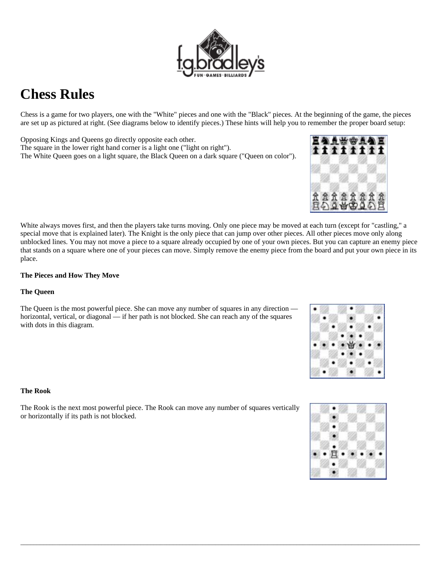# **Chess Rules**

Chess is a game for two players, one with the "White" pieces and one with the "Black" pieces. At the beginning of the game, the pieces are set up as pictured at right. (See diagrams below to identify pieces.) These hints will help you to remember the proper board setup:

Opposing Kings and Queens go directly opposite each other. The square in the lower right hand corner is a light one ("light on right"). The White Queen goes on a light square, the Black Queen on a dark square ("Queen on color").

White always moves first, and then the players take turns moving. Only one piece may be moved at each turn (except for "castling," a special move that is explained later). The Knight is the only piece that can jump over other pieces. All other pieces move only along unblocked lines. You may not move a piece to a square already occupied by one of your own pieces. But you can capture an enemy piece that stands on a square where one of your pieces can move. Simply remove the enemy piece from the board and put your own piece in its place.

 $\bot$  , and the set of the set of the set of the set of the set of the set of the set of the set of the set of the set of the set of the set of the set of the set of the set of the set of the set of the set of the set of t

### **The Pieces and How They Move**

### **The Queen**

The Queen is the most powerful piece. She can move any number of squares in any direction horizontal, vertical, or diagonal — if her path is not blocked. She can reach any of the squares with dots in this diagram.

#### **The Rook**

The Rook is the next most powerful piece. The Rook can move any number of squares vertically or horizontally if its path is not blocked.







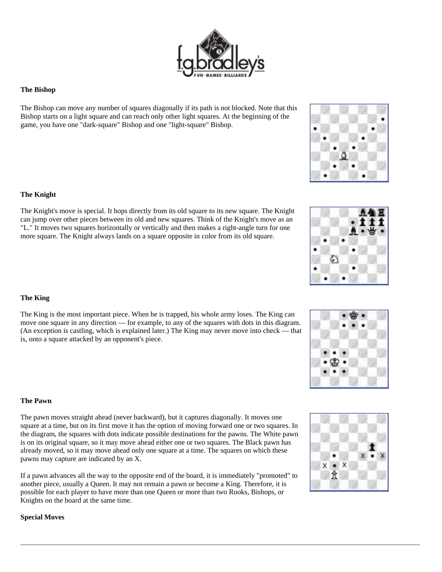

## **The Bishop**

The Bishop can move any number of squares diagonally if its path is not blocked. Note that this Bishop starts on a light square and can reach only other light squares. At the beginning of the game, you have one "dark-square" Bishop and one "light-square" Bishop.

### **The Knight**

The Knight's move is special. It hops directly from its old square to its new square. The Knight can jump over other pieces between its old and new squares. Think of the Knight's move as an "L." It moves two squares horizontally or vertically and then makes a right-angle turn for one more square. The Knight always lands on a square opposite in color from its old square.

### **The King**

The King is the most important piece. When he is trapped, his whole army loses. The King can move one square in any direction — for example, to any of the squares with dots in this diagram. (An exception is castling, which is explained later.) The King may never move into check — that is, onto a square attacked by an opponent's piece.

## **The Pawn**

The pawn moves straight ahead (never backward), but it captures diagonally. It moves one square at a time, but on its first move it has the option of moving forward one or two squares. In the diagram, the squares with dots indicate possible destinations for the pawns. The White pawn is on its original square, so it may move ahead either one or two squares. The Black pawn has already moved, so it may move ahead only one square at a time. The squares on which these pawns may capture are indicated by an X.

If a pawn advances all the way to the opposite end of the board, it is immediately "promoted" to another piece, usually a Queen. It may not remain a pawn or become a King. Therefore, it is possible for each player to have more than one Queen or more than two Rooks, Bishops, or Knights on the board at the same time.

 $\bot$  , and the set of the set of the set of the set of the set of the set of the set of the set of the set of the set of the set of the set of the set of the set of the set of the set of the set of the set of the set of t

# **Special Moves**









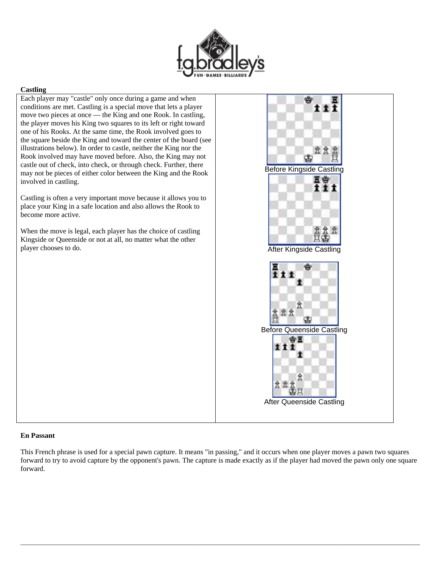

#### **Castling**

Each player may "castle" only once during a game and when conditions are met. Castling is a special move that lets a player move two pieces at once — the King and one Rook. In castling, the player moves his King two squares to its left or right toward one of his Rooks. At the same time, the Rook involved goes to the square beside the King and toward the center of the board (see illustrations below). In order to castle, neither the King nor the Rook involved may have moved before. Also, the King may not castle out of check, into check, or through check. Further, there may not be pieces of either color between the King and the Rook involved in castling.

Castling is often a very important move because it allows you to place your King in a safe location and also allows the Rook to become more active.

When the move is legal, each player has the choice of castling Kingside or Queenside or not at all, no matter what the other player chooses to do.



#### **En Passant**

This French phrase is used for a special pawn capture. It means "in passing," and it occurs when one player moves a pawn two squares forward to try to avoid capture by the opponent's pawn. The capture is made exactly as if the player had moved the pawn only one square forward.

 $\bot$  , and the set of the set of the set of the set of the set of the set of the set of the set of the set of the set of the set of the set of the set of the set of the set of the set of the set of the set of the set of t